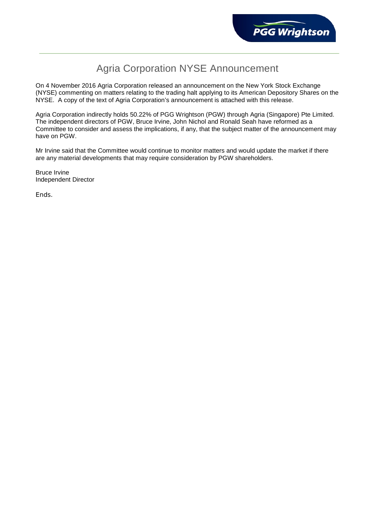## Agria Corporation NYSE Announcement

On 4 November 2016 Agria Corporation released an announcement on the New York Stock Exchange (NYSE) commenting on matters relating to the trading halt applying to its American Depository Shares on the NYSE. A copy of the text of Agria Corporation's announcement is attached with this release.

Agria Corporation indirectly holds 50.22% of PGG Wrightson (PGW) through Agria (Singapore) Pte Limited. The independent directors of PGW, Bruce Irvine, John Nichol and Ronald Seah have reformed as a Committee to consider and assess the implications, if any, that the subject matter of the announcement may have on PGW.

Mr Irvine said that the Committee would continue to monitor matters and would update the market if there are any material developments that may require consideration by PGW shareholders.

Bruce Irvine Independent Director

Ends.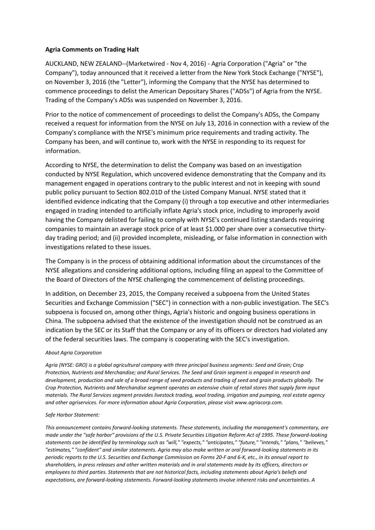## **Agria Comments on Trading Halt**

AUCKLAND, NEW ZEALAND--(Marketwired - Nov 4, 2016) - Agria Corporation ("Agria" or "the Company"), today announced that it received a letter from the New York Stock Exchange ("NYSE"), on November 3, 2016 (the "Letter"), informing the Company that the NYSE has determined to commence proceedings to delist the American Depositary Shares ("ADSs") of Agria from the NYSE. Trading of the Company's ADSs was suspended on November 3, 2016.

Prior to the notice of commencement of proceedings to delist the Company's ADSs, the Company received a request for information from the NYSE on July 13, 2016 in connection with a review of the Company's compliance with the NYSE's minimum price requirements and trading activity. The Company has been, and will continue to, work with the NYSE in responding to its request for information.

According to NYSE, the determination to delist the Company was based on an investigation conducted by NYSE Regulation, which uncovered evidence demonstrating that the Company and its management engaged in operations contrary to the public interest and not in keeping with sound public policy pursuant to Section 802.01D of the Listed Company Manual. NYSE stated that it identified evidence indicating that the Company (i) through a top executive and other intermediaries engaged in trading intended to artificially inflate Agria's stock price, including to improperly avoid having the Company delisted for failing to comply with NYSE's continued listing standards requiring companies to maintain an average stock price of at least \$1.000 per share over a consecutive thirtyday trading period; and (ii) provided incomplete, misleading, or false information in connection with investigations related to these issues.

The Company is in the process of obtaining additional information about the circumstances of the NYSE allegations and considering additional options, including filing an appeal to the Committee of the Board of Directors of the NYSE challenging the commencement of delisting proceedings.

In addition, on December 23, 2015, the Company received a subpoena from the United States Securities and Exchange Commission ("SEC") in connection with a non-public investigation. The SEC's subpoena is focused on, among other things, Agria's historic and ongoing business operations in China. The subpoena advised that the existence of the investigation should not be construed as an indication by the SEC or its Staff that the Company or any of its officers or directors had violated any of the federal securities laws. The company is cooperating with the SEC's investigation.

## *About Agria Corporation*

*Agria (NYSE: GRO) is a global agricultural company with three principal business segments: Seed and Grain; Crop Protection, Nutrients and Merchandise; and Rural Services. The Seed and Grain segment is engaged in research and development, production and sale of a broad range of seed products and trading of seed and grain products globally. The Crop Protection, Nutrients and Merchandise segment operates an extensive chain of retail stores that supply farm input materials. The Rural Services segment provides livestock trading, wool trading, irrigation and pumping, real estate agency and other agriservices. For more information about Agria Corporation, please visit www.agriacorp.com.* 

## *Safe Harbor Statement:*

*This announcement contains forward-looking statements. These statements, including the management's commentary, are made under the "safe harbor" provisions of the U.S. Private Securities Litigation Reform Act of 1995. These forward-looking statements can be identified by terminology such as "will," "expects," "anticipates," "future," "intends," "plans," "believes," "estimates," "confident" and similar statements. Agria may also make written or oral forward-looking statements in its periodic reports to the U.S. Securities and Exchange Commission on Forms 20-F and 6-K, etc., in its annual report to shareholders, in press releases and other written materials and in oral statements made by its officers, directors or employees to third parties. Statements that are not historical facts, including statements about Agria's beliefs and expectations, are forward-looking statements. Forward-looking statements involve inherent risks and uncertainties. A*